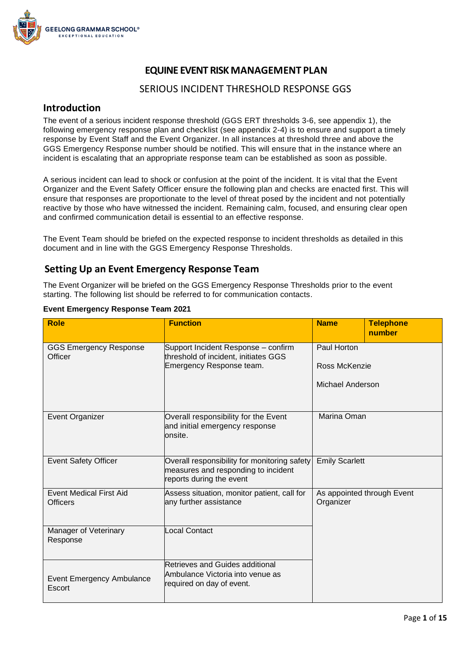

## **EQUINE EVENT RISK MANAGEMENT PLAN**

### SERIOUS INCIDENT THRESHOLD RESPONSE GGS

#### **Introduction**

The event of a serious incident response threshold (GGS ERT thresholds 3-6, see appendix 1), the following emergency response plan and checklist (see appendix 2-4) is to ensure and support a timely response by Event Staff and the Event Organizer. In all instances at threshold three and above the GGS Emergency Response number should be notified. This will ensure that in the instance where an incident is escalating that an appropriate response team can be established as soon as possible.

A serious incident can lead to shock or confusion at the point of the incident. It is vital that the Event Organizer and the Event Safety Officer ensure the following plan and checks are enacted first. This will ensure that responses are proportionate to the level of threat posed by the incident and not potentially reactive by those who have witnessed the incident. Remaining calm, focused, and ensuring clear open and confirmed communication detail is essential to an effective response.

The Event Team should be briefed on the expected response to incident thresholds as detailed in this document and in line with the GGS Emergency Response Thresholds.

### **Setting Up an Event Emergency Response Team**

The Event Organizer will be briefed on the GGS Emergency Response Thresholds prior to the event starting. The following list should be referred to for communication contacts.

| <b>Role</b>                                       | <b>Function</b>                                                                                                 | <b>Name</b>           | <b>Telephone</b><br>number |
|---------------------------------------------------|-----------------------------------------------------------------------------------------------------------------|-----------------------|----------------------------|
| <b>GGS Emergency Response</b><br><b>Officer</b>   | Support Incident Response - confirm<br>threshold of incident, initiates GGS                                     | Paul Horton           |                            |
|                                                   | Emergency Response team.                                                                                        | Ross McKenzie         |                            |
|                                                   |                                                                                                                 | Michael Anderson      |                            |
| Event Organizer                                   | Overall responsibility for the Event<br>and initial emergency response<br>onsite.                               | Marina Oman           |                            |
| <b>Event Safety Officer</b>                       | Overall responsibility for monitoring safety<br>measures and responding to incident<br>reports during the event | <b>Emily Scarlett</b> |                            |
| <b>Event Medical First Aid</b><br><b>Officers</b> | Assess situation, monitor patient, call for<br>any further assistance                                           | Organizer             | As appointed through Event |
| Manager of Veterinary<br>Response                 | Local Contact                                                                                                   |                       |                            |
| <b>Event Emergency Ambulance</b><br>Escort        | Retrieves and Guides additional<br>Ambulance Victoria into venue as<br>required on day of event.                |                       |                            |

#### **Event Emergency Response Team 2021**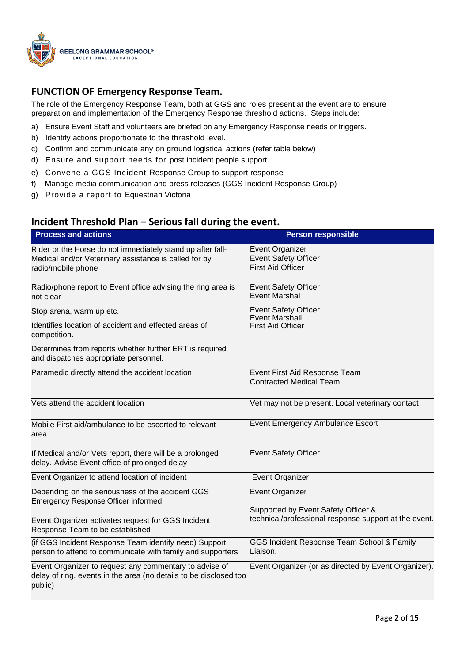

## **FUNCTION OF Emergency Response Team.**

The role of the Emergency Response Team, both at GGS and roles present at the event are to ensure preparation and implementation of the Emergency Response threshold actions. Steps include:

- a) Ensure Event Staff and volunteers are briefed on any Emergency Response needs or triggers.
- b) Identify actions proportionate to the threshold level.
- c) Confirm and communicate any on ground logistical actions (refer table below)
- d) Ensure and support needs for post incident people support
- e) Convene a GGS Incident Response Group to support response
- f) Manage media communication and press releases (GGS Incident Response Group)
- g) Provide a report to Equestrian Victoria

### **Incident Threshold Plan – Serious fall during the event.**

| <b>Process and actions</b>                                                                                                                | <b>Person responsible</b>                                                                    |
|-------------------------------------------------------------------------------------------------------------------------------------------|----------------------------------------------------------------------------------------------|
| Rider or the Horse do not immediately stand up after fall-<br>Medical and/or Veterinary assistance is called for by<br>radio/mobile phone | Event Organizer<br><b>Event Safety Officer</b><br><b>First Aid Officer</b>                   |
| Radio/phone report to Event office advising the ring area is<br>not clear                                                                 | <b>Event Safety Officer</b><br>Event Marshal                                                 |
| Stop arena, warm up etc.                                                                                                                  | <b>Event Safety Officer</b><br>Event Marshall                                                |
| Identifies location of accident and effected areas of<br>competition.                                                                     | <b>First Aid Officer</b>                                                                     |
| Determines from reports whether further ERT is required<br>and dispatches appropriate personnel.                                          |                                                                                              |
| Paramedic directly attend the accident location                                                                                           | Event First Aid Response Team<br><b>Contracted Medical Team</b>                              |
| Vets attend the accident location                                                                                                         | Vet may not be present. Local veterinary contact                                             |
| Mobile First aid/ambulance to be escorted to relevant<br>area                                                                             | <b>Event Emergency Ambulance Escort</b>                                                      |
| If Medical and/or Vets report, there will be a prolonged<br>delay. Advise Event office of prolonged delay                                 | <b>Event Safety Officer</b>                                                                  |
| Event Organizer to attend location of incident                                                                                            | <b>Event Organizer</b>                                                                       |
| Depending on the seriousness of the accident GGS<br><b>Emergency Response Officer informed</b>                                            | <b>Event Organizer</b>                                                                       |
| Event Organizer activates request for GGS Incident<br>Response Team to be established                                                     | Supported by Event Safety Officer &<br>technical/professional response support at the event. |
| (if GGS Incident Response Team identify need) Support<br>person to attend to communicate with family and supporters                       | GGS Incident Response Team School & Family<br>Liaison.                                       |
| Event Organizer to request any commentary to advise of<br>delay of ring, events in the area (no details to be disclosed too<br>public)    | Event Organizer (or as directed by Event Organizer).                                         |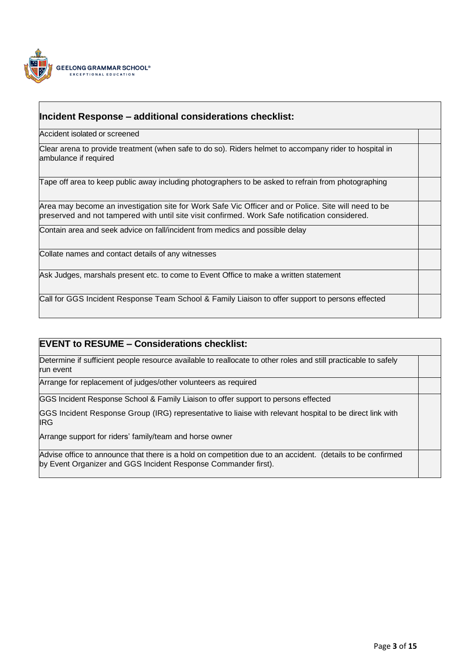

### **Incident Response – additional considerations checklist:**

Accident isolated or screened

Clear arena to provide treatment (when safe to do so). Riders helmet to accompany rider to hospital in ambulance if required

Tape off area to keep public away including photographers to be asked to refrain from photographing

Area may become an investigation site for Work Safe Vic Officer and or Police. Site will need to be preserved and not tampered with until site visit confirmed. Work Safe notification considered.

Contain area and seek advice on fall/incident from medics and possible delay

Collate names and contact details of any witnesses

Ask Judges, marshals present etc. to come to Event Office to make a written statement

Call for GGS Incident Response Team School & Family Liaison to offer support to persons effected

### **EVENT to RESUME – Considerations checklist:**

Determine if sufficient people resource available to reallocate to other roles and still practicable to safely run event

Arrange for replacement of judges/other volunteers as required

GGS Incident Response School & Family Liaison to offer support to persons effected

GGS Incident Response Group (IRG) representative to liaise with relevant hospital to be direct link with IRG

Arrange support for riders' family/team and horse owner

Advise office to announce that there is a hold on competition due to an accident. (details to be confirmed by Event Organizer and GGS Incident Response Commander first).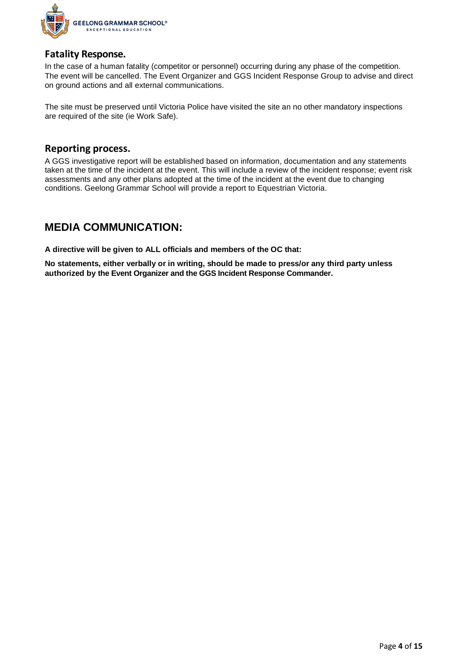

### **Fatality Response.**

In the case of a human fatality (competitor or personnel) occurring during any phase of the competition. The event will be cancelled. The Event Organizer and GGS Incident Response Group to advise and direct on ground actions and all external communications.

The site must be preserved until Victoria Police have visited the site an no other mandatory inspections are required of the site (ie Work Safe).

### **Reporting process.**

A GGS investigative report will be established based on information, documentation and any statements taken at the time of the incident at the event. This will include a review of the incident response; event risk assessments and any other plans adopted at the time of the incident at the event due to changing conditions. Geelong Grammar School will provide a report to Equestrian Victoria.

# **MEDIA COMMUNICATION:**

**A directive will be given to ALL officials and members of the OC that:**

**No statements, either verbally or in writing, should be made to press/or any third party unless authorized by the Event Organizer and the GGS Incident Response Commander.**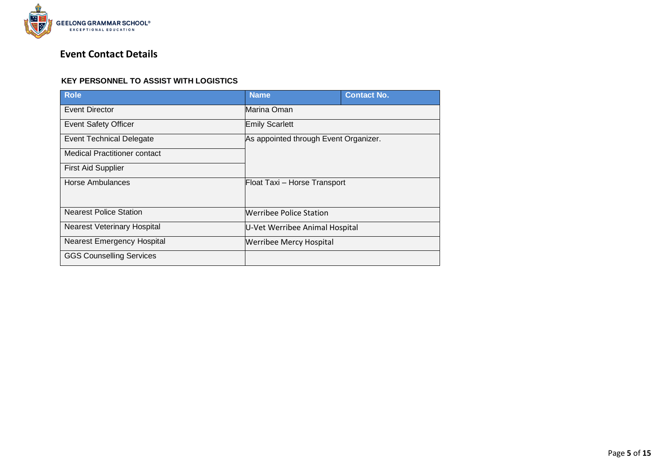

# **Event Contact Details**

#### **KEY PERSONNEL TO ASSIST WITH LOGISTICS**

| <b>Role</b>                        | <b>Name</b>                           | <b>Contact No.</b> |
|------------------------------------|---------------------------------------|--------------------|
| Event Director                     | Marina Oman                           |                    |
| <b>Event Safety Officer</b>        | <b>Emily Scarlett</b>                 |                    |
| <b>Event Technical Delegate</b>    | As appointed through Event Organizer. |                    |
| Medical Practitioner contact       |                                       |                    |
| <b>First Aid Supplier</b>          |                                       |                    |
| Horse Ambulances                   | Float Taxi - Horse Transport          |                    |
| <b>Nearest Police Station</b>      | Werribee Police Station               |                    |
| <b>Nearest Veterinary Hospital</b> | U-Vet Werribee Animal Hospital        |                    |
| <b>Nearest Emergency Hospital</b>  | <b>Werribee Mercy Hospital</b>        |                    |
| <b>GGS Counselling Services</b>    |                                       |                    |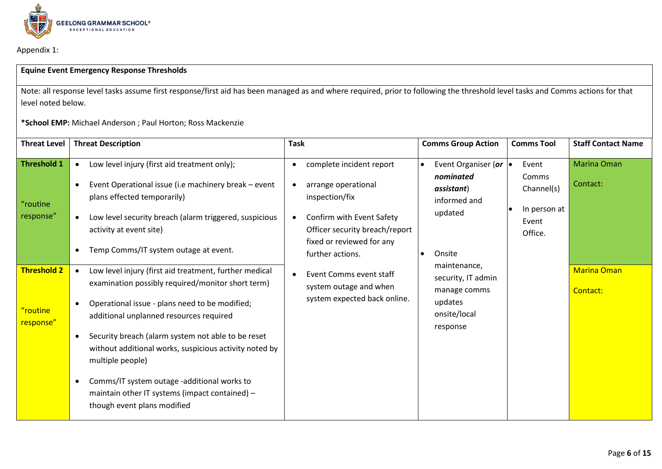

Appendix 1:

#### **Equine Event Emergency Response Thresholds**

Note: all response level tasks assume first response/first aid has been managed as and where required, prior to following the threshold level tasks and Comms actions for that level noted below.

**\*School EMP:** Michael Anderson ; Paul Horton; Ross Mackenzie

| <b>Threat Level</b>                         | <b>Threat Description</b>                                                                                                                                                                                                                                                                                                                                                                                                                                                                                                                                    | <b>Task</b>                                                                                                                                                                | <b>Comms Group Action</b>                                                                           | <b>Comms Tool</b>                                                | <b>Staff Contact Name</b>      |
|---------------------------------------------|--------------------------------------------------------------------------------------------------------------------------------------------------------------------------------------------------------------------------------------------------------------------------------------------------------------------------------------------------------------------------------------------------------------------------------------------------------------------------------------------------------------------------------------------------------------|----------------------------------------------------------------------------------------------------------------------------------------------------------------------------|-----------------------------------------------------------------------------------------------------|------------------------------------------------------------------|--------------------------------|
| <b>Threshold 1</b><br>"routine<br>response" | Low level injury (first aid treatment only);<br>$\bullet$<br>Event Operational issue (i.e machinery break - event<br>plans effected temporarily)<br>Low level security breach (alarm triggered, suspicious<br>$\bullet$<br>activity at event site)                                                                                                                                                                                                                                                                                                           | complete incident report<br>$\bullet$<br>arrange operational<br>inspection/fix<br>Confirm with Event Safety<br>Officer security breach/report<br>fixed or reviewed for any | Event Organiser (or $\bullet$<br>nominated<br>assistant)<br>informed and<br>updated                 | Event<br>Comms<br>Channel(s)<br>In person at<br>Event<br>Office. | <b>Marina Oman</b><br>Contact: |
| <b>Threshold 2</b><br>"routine<br>response" | Temp Comms/IT system outage at event.<br>Low level injury (first aid treatment, further medical<br>$\bullet$<br>examination possibly required/monitor short term)<br>Operational issue - plans need to be modified;<br>additional unplanned resources required<br>Security breach (alarm system not able to be reset<br>$\bullet$<br>without additional works, suspicious activity noted by<br>multiple people)<br>Comms/IT system outage -additional works to<br>$\bullet$<br>maintain other IT systems (impact contained) -<br>though event plans modified | further actions.<br>Event Comms event staff<br>$\bullet$<br>system outage and when<br>system expected back online.                                                         | Onsite<br>maintenance,<br>security, IT admin<br>manage comms<br>updates<br>onsite/local<br>response |                                                                  | <b>Marina Oman</b><br>Contact: |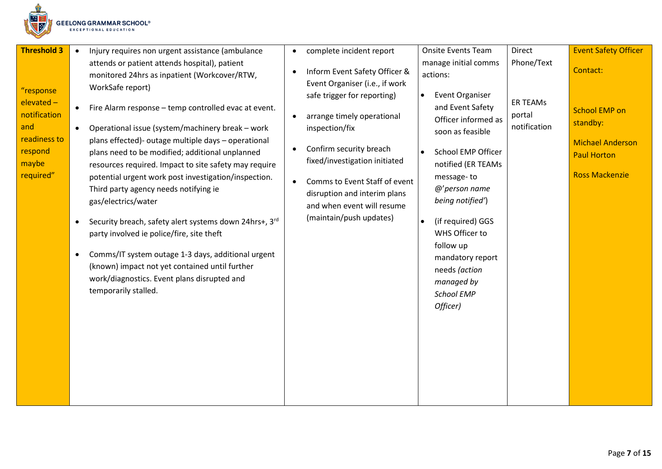

| <b>Threshold 3</b>                                                                              | Injury requires non urgent assistance (ambulance<br>$\bullet$                                                                                                                                                                                                                                                                                                                                                                                                                                                                                                                                                             | $\bullet$                                        | complete incident report                                                                                                                                                                                                                                                                                                             | <b>Onsite Events Team</b>                                                                                                                                                                                                                                                            | Direct                                                  | <b>Event Safety Officer</b>                                                                                            |
|-------------------------------------------------------------------------------------------------|---------------------------------------------------------------------------------------------------------------------------------------------------------------------------------------------------------------------------------------------------------------------------------------------------------------------------------------------------------------------------------------------------------------------------------------------------------------------------------------------------------------------------------------------------------------------------------------------------------------------------|--------------------------------------------------|--------------------------------------------------------------------------------------------------------------------------------------------------------------------------------------------------------------------------------------------------------------------------------------------------------------------------------------|--------------------------------------------------------------------------------------------------------------------------------------------------------------------------------------------------------------------------------------------------------------------------------------|---------------------------------------------------------|------------------------------------------------------------------------------------------------------------------------|
| "response<br>elevated -<br>notification<br>and<br>readiness to<br>respond<br>maybe<br>required" | attends or patient attends hospital), patient<br>monitored 24hrs as inpatient (Workcover/RTW,<br>WorkSafe report)<br>Fire Alarm response - temp controlled evac at event.<br>$\bullet$<br>Operational issue (system/machinery break - work<br>$\bullet$<br>plans effected)- outage multiple days - operational<br>plans need to be modified; additional unplanned<br>resources required. Impact to site safety may require<br>potential urgent work post investigation/inspection.<br>Third party agency needs notifying ie<br>gas/electrics/water<br>Security breach, safety alert systems down 24hrs+, 3rd<br>$\bullet$ | $\bullet$<br>$\bullet$<br>$\bullet$<br>$\bullet$ | Inform Event Safety Officer &<br>Event Organiser (i.e., if work<br>safe trigger for reporting)<br>arrange timely operational<br>inspection/fix<br>Confirm security breach<br>fixed/investigation initiated<br>Comms to Event Staff of event<br>disruption and interim plans<br>and when event will resume<br>(maintain/push updates) | manage initial comms<br>actions:<br><b>Event Organiser</b><br>$\bullet$<br>and Event Safety<br>Officer informed as<br>soon as feasible<br>School EMP Officer<br>$\bullet$<br>notified (ER TEAMs<br>message-to<br>@'person name<br>being notified')<br>(if required) GGS<br>$\bullet$ | Phone/Text<br><b>ER TEAMs</b><br>portal<br>notification | Contact:<br><b>School EMP on</b><br>standby:<br><b>Michael Anderson</b><br><b>Paul Horton</b><br><b>Ross Mackenzie</b> |
|                                                                                                 | party involved ie police/fire, site theft<br>Comms/IT system outage 1-3 days, additional urgent<br>$\bullet$<br>(known) impact not yet contained until further<br>work/diagnostics. Event plans disrupted and<br>temporarily stalled.                                                                                                                                                                                                                                                                                                                                                                                     |                                                  |                                                                                                                                                                                                                                                                                                                                      | WHS Officer to<br>follow up<br>mandatory report<br>needs (action<br>managed by<br><b>School EMP</b><br>Officer)                                                                                                                                                                      |                                                         |                                                                                                                        |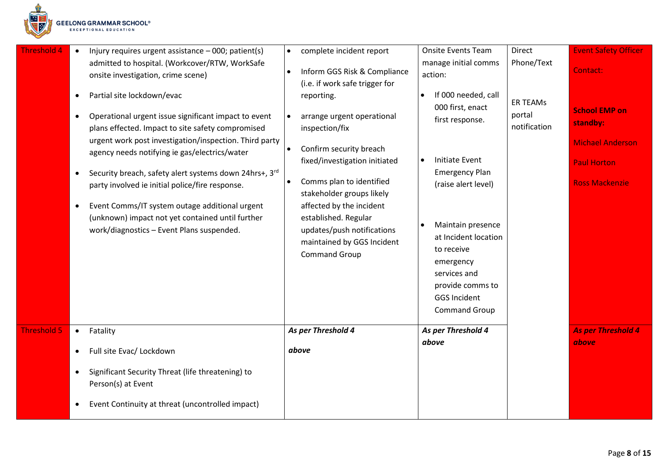

| <b>Threshold 4</b> | Injury requires urgent assistance - 000; patient(s)<br>$\bullet$<br>admitted to hospital. (Workcover/RTW, WorkSafe                                                                                                                                                                                                                                                                                                                                                                                                                                                     | complete incident report<br>$\bullet$                                                                                                                                                                                                                                                                                   | <b>Onsite Events Team</b><br>manage initial comms                                                                                                                                                           | <b>Direct</b><br>Phone/Text               | <b>Event Safety Officer</b>                                                                                |
|--------------------|------------------------------------------------------------------------------------------------------------------------------------------------------------------------------------------------------------------------------------------------------------------------------------------------------------------------------------------------------------------------------------------------------------------------------------------------------------------------------------------------------------------------------------------------------------------------|-------------------------------------------------------------------------------------------------------------------------------------------------------------------------------------------------------------------------------------------------------------------------------------------------------------------------|-------------------------------------------------------------------------------------------------------------------------------------------------------------------------------------------------------------|-------------------------------------------|------------------------------------------------------------------------------------------------------------|
|                    | onsite investigation, crime scene)                                                                                                                                                                                                                                                                                                                                                                                                                                                                                                                                     | Inform GGS Risk & Compliance<br>(i.e. if work safe trigger for                                                                                                                                                                                                                                                          | action:                                                                                                                                                                                                     |                                           | Contact:                                                                                                   |
|                    | Partial site lockdown/evac<br>$\bullet$<br>Operational urgent issue significant impact to event<br>$\bullet$<br>plans effected. Impact to site safety compromised<br>urgent work post investigation/inspection. Third party<br>agency needs notifying ie gas/electrics/water<br>Security breach, safety alert systems down 24hrs+, 3rd<br>$\bullet$<br>party involved ie initial police/fire response.<br>Event Comms/IT system outage additional urgent<br>$\bullet$<br>(unknown) impact not yet contained until further<br>work/diagnostics - Event Plans suspended. | reporting.<br>arrange urgent operational<br>inspection/fix<br>Confirm security breach<br>fixed/investigation initiated<br>Comms plan to identified<br>stakeholder groups likely<br>affected by the incident<br>established. Regular<br>updates/push notifications<br>maintained by GGS Incident<br><b>Command Group</b> | If 000 needed, call<br>$\bullet$<br>000 first, enact<br>first response.<br><b>Initiate Event</b><br><b>Emergency Plan</b><br>(raise alert level)<br>Maintain presence<br>at Incident location<br>to receive | <b>ER TEAMS</b><br>portal<br>notification | <b>School EMP on</b><br>standby:<br><b>Michael Anderson</b><br><b>Paul Horton</b><br><b>Ross Mackenzie</b> |
|                    |                                                                                                                                                                                                                                                                                                                                                                                                                                                                                                                                                                        |                                                                                                                                                                                                                                                                                                                         | emergency<br>services and<br>provide comms to<br><b>GGS Incident</b><br><b>Command Group</b>                                                                                                                |                                           |                                                                                                            |
| <b>Threshold 5</b> | Fatality<br>$\bullet$                                                                                                                                                                                                                                                                                                                                                                                                                                                                                                                                                  | As per Threshold 4                                                                                                                                                                                                                                                                                                      | As per Threshold 4                                                                                                                                                                                          |                                           | <b>As per Threshold 4</b>                                                                                  |
|                    | Full site Evac/ Lockdown<br>$\bullet$                                                                                                                                                                                                                                                                                                                                                                                                                                                                                                                                  | above                                                                                                                                                                                                                                                                                                                   | above                                                                                                                                                                                                       |                                           | above                                                                                                      |
|                    | Significant Security Threat (life threatening) to<br>$\bullet$<br>Person(s) at Event                                                                                                                                                                                                                                                                                                                                                                                                                                                                                   |                                                                                                                                                                                                                                                                                                                         |                                                                                                                                                                                                             |                                           |                                                                                                            |
|                    | Event Continuity at threat (uncontrolled impact)<br>$\bullet$                                                                                                                                                                                                                                                                                                                                                                                                                                                                                                          |                                                                                                                                                                                                                                                                                                                         |                                                                                                                                                                                                             |                                           |                                                                                                            |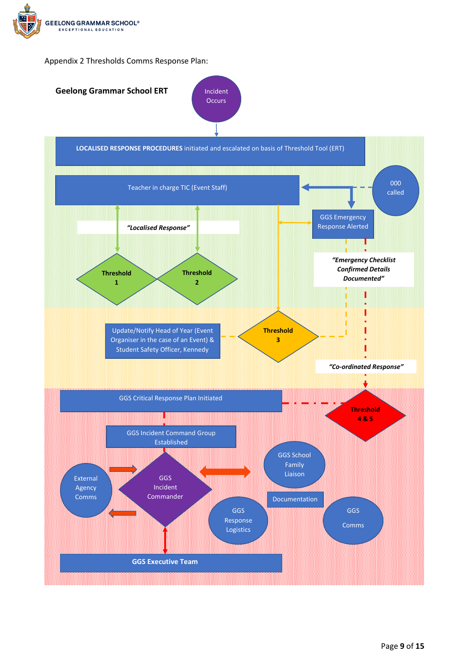



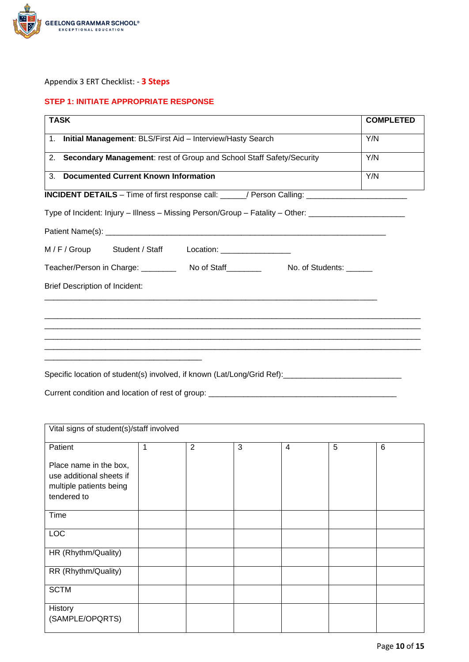

#### Appendix 3 ERT Checklist: - **3 Steps**

#### **STEP 1: INITIATE APPROPRIATE RESPONSE**

| <b>TASK</b>                                                                                                | <b>COMPLETED</b> |
|------------------------------------------------------------------------------------------------------------|------------------|
| 1. Initial Management: BLS/First Aid - Interview/Hasty Search                                              | Y/N              |
| 2. Secondary Management: rest of Group and School Staff Safety/Security                                    | Y/N              |
| 3.<br><b>Documented Current Known Information</b>                                                          | Y/N              |
| INCIDENT DETAILS - Time of first response call: _____/ Person Calling: ____________________________        |                  |
| Type of Incident: Injury - Illness - Missing Person/Group - Fatality - Other: _____________________        |                  |
|                                                                                                            |                  |
| M/F/Group Student/Staff Location: _______________                                                          |                  |
| Teacher/Person in Charge: No of Staff New Your Students: No. of Students:                                  |                  |
| <b>Brief Description of Incident:</b>                                                                      |                  |
|                                                                                                            |                  |
|                                                                                                            |                  |
|                                                                                                            |                  |
|                                                                                                            |                  |
| $\Omega$ . The contract of the density is the set of the set of the set $\Omega$ and $\Omega$ and $\Omega$ |                  |

Specific location of student(s) involved, if known (Lat/Long/Grid Ref): \_\_\_\_\_\_\_\_\_\_\_\_\_\_\_\_\_\_\_\_\_\_\_\_\_\_\_\_

Current condition and location of rest of group: \_\_\_\_\_\_\_\_\_\_\_\_\_\_\_\_\_\_\_\_\_\_\_\_\_\_\_\_\_\_\_

| Vital signs of student(s)/staff involved           |   |                |   |   |   |                 |
|----------------------------------------------------|---|----------------|---|---|---|-----------------|
| Patient                                            | 1 | $\overline{2}$ | 3 | 4 | 5 | $6\phantom{1}6$ |
| Place name in the box,<br>use additional sheets if |   |                |   |   |   |                 |
| multiple patients being                            |   |                |   |   |   |                 |
| tendered to                                        |   |                |   |   |   |                 |
| Time                                               |   |                |   |   |   |                 |
| LOC                                                |   |                |   |   |   |                 |
| HR (Rhythm/Quality)                                |   |                |   |   |   |                 |
| RR (Rhythm/Quality)                                |   |                |   |   |   |                 |
| <b>SCTM</b>                                        |   |                |   |   |   |                 |
| History<br>(SAMPLE/OPQRTS)                         |   |                |   |   |   |                 |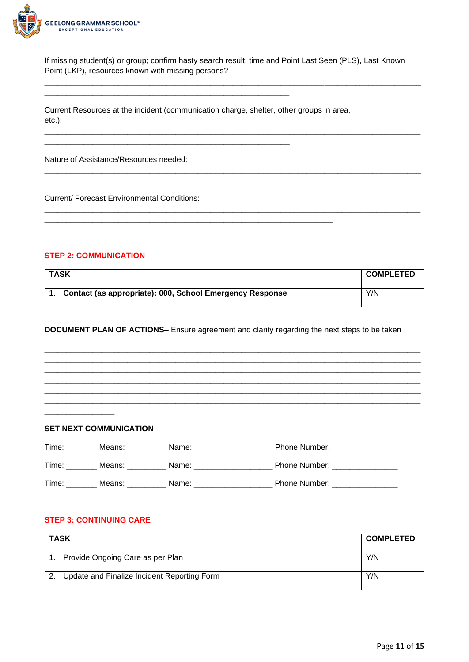

If missing student(s) or group; confirm hasty search result, time and Point Last Seen (PLS), Last Known Point (LKP), resources known with missing persons?

\_\_\_\_\_\_\_\_\_\_\_\_\_\_\_\_\_\_\_\_\_\_\_\_\_\_\_\_\_\_\_\_\_\_\_\_\_\_\_\_\_\_\_\_\_\_\_\_\_\_\_\_\_\_\_\_\_\_\_\_\_\_\_\_\_\_\_\_\_\_\_\_\_\_\_\_\_\_\_\_\_\_\_\_\_\_

\_\_\_\_\_\_\_\_\_\_\_\_\_\_\_\_\_\_\_\_\_\_\_\_\_\_\_\_\_\_\_\_\_\_\_\_\_\_\_\_\_\_\_\_\_\_\_\_\_\_\_\_\_\_\_\_\_\_\_\_\_\_\_\_\_\_\_\_\_\_\_\_\_\_\_\_\_\_\_\_\_\_\_\_\_\_

\_\_\_\_\_\_\_\_\_\_\_\_\_\_\_\_\_\_\_\_\_\_\_\_\_\_\_\_\_\_\_\_\_\_\_\_\_\_\_\_\_\_\_\_\_\_\_\_\_\_\_\_\_\_\_\_\_\_\_\_\_\_\_\_\_\_\_\_\_\_\_\_\_\_\_\_\_\_\_\_\_\_\_\_\_\_

Current Resources at the incident (communication charge, shelter, other groups in area, etc.):\_\_\_\_\_\_\_\_\_\_\_\_\_\_\_\_\_\_\_\_\_\_\_\_\_\_\_\_\_\_\_\_\_\_\_\_\_\_\_\_\_\_\_\_\_\_\_\_\_\_\_\_\_\_\_\_\_\_\_\_\_\_\_\_\_\_\_\_\_\_\_\_\_\_\_\_\_\_\_\_\_\_

\_\_\_\_\_\_\_\_\_\_\_\_\_\_\_\_\_\_\_\_\_\_\_\_\_\_\_\_\_\_\_\_\_\_\_\_\_\_\_\_\_\_\_\_\_\_\_\_\_\_\_\_\_\_\_\_\_\_\_\_\_\_\_\_\_\_

\_\_\_\_\_\_\_\_\_\_\_\_\_\_\_\_\_\_\_\_\_\_\_\_\_\_\_\_\_\_\_\_\_\_\_\_\_\_\_\_\_\_\_\_\_\_\_\_\_\_\_\_\_\_\_\_\_\_\_\_\_\_\_\_\_\_

\_\_\_\_\_\_\_\_\_\_\_\_\_\_\_\_\_\_\_\_\_\_\_\_\_\_\_\_\_\_\_\_\_\_\_\_\_\_\_\_\_\_\_\_\_\_\_\_\_\_\_\_\_\_\_\_

\_\_\_\_\_\_\_\_\_\_\_\_\_\_\_\_\_\_\_\_\_\_\_\_\_\_\_\_\_\_\_\_\_\_\_\_\_\_\_\_\_\_\_\_\_\_\_\_\_\_\_\_\_\_\_\_

Nature of Assistance/Resources needed:

Current/ Forecast Environmental Conditions:

#### **STEP 2: COMMUNICATION**

| <b>TASK</b>                                              | <b>COMPLETED</b> |
|----------------------------------------------------------|------------------|
| Contact (as appropriate): 000, School Emergency Response | Y/N              |

**DOCUMENT PLAN OF ACTIONS–** Ensure agreement and clarity regarding the next steps to be taken

\_\_\_\_\_\_\_\_\_\_\_\_\_\_\_\_\_\_\_\_\_\_\_\_\_\_\_\_\_\_\_\_\_\_\_\_\_\_\_\_\_\_\_\_\_\_\_\_\_\_\_\_\_\_\_\_\_\_\_\_\_\_\_\_\_\_\_\_\_\_\_\_\_\_\_\_\_\_\_\_\_\_\_\_\_\_ \_\_\_\_\_\_\_\_\_\_\_\_\_\_\_\_\_\_\_\_\_\_\_\_\_\_\_\_\_\_\_\_\_\_\_\_\_\_\_\_\_\_\_\_\_\_\_\_\_\_\_\_\_\_\_\_\_\_\_\_\_\_\_\_\_\_\_\_\_\_\_\_\_\_\_\_\_\_\_\_\_\_\_\_\_\_ \_\_\_\_\_\_\_\_\_\_\_\_\_\_\_\_\_\_\_\_\_\_\_\_\_\_\_\_\_\_\_\_\_\_\_\_\_\_\_\_\_\_\_\_\_\_\_\_\_\_\_\_\_\_\_\_\_\_\_\_\_\_\_\_\_\_\_\_\_\_\_\_\_\_\_\_\_\_\_\_\_\_\_\_\_\_ \_\_\_\_\_\_\_\_\_\_\_\_\_\_\_\_\_\_\_\_\_\_\_\_\_\_\_\_\_\_\_\_\_\_\_\_\_\_\_\_\_\_\_\_\_\_\_\_\_\_\_\_\_\_\_\_\_\_\_\_\_\_\_\_\_\_\_\_\_\_\_\_\_\_\_\_\_\_\_\_\_\_\_\_\_\_ \_\_\_\_\_\_\_\_\_\_\_\_\_\_\_\_\_\_\_\_\_\_\_\_\_\_\_\_\_\_\_\_\_\_\_\_\_\_\_\_\_\_\_\_\_\_\_\_\_\_\_\_\_\_\_\_\_\_\_\_\_\_\_\_\_\_\_\_\_\_\_\_\_\_\_\_\_\_\_\_\_\_\_\_\_\_ \_\_\_\_\_\_\_\_\_\_\_\_\_\_\_\_\_\_\_\_\_\_\_\_\_\_\_\_\_\_\_\_\_\_\_\_\_\_\_\_\_\_\_\_\_\_\_\_\_\_\_\_\_\_\_\_\_\_\_\_\_\_\_\_\_\_\_\_\_\_\_\_\_\_\_\_\_\_\_\_\_\_\_\_\_\_

#### **SET NEXT COMMUNICATION**

\_\_\_\_\_\_\_\_\_\_\_\_\_\_\_\_

| Time: | Means: | Name: | Phone Number:        |
|-------|--------|-------|----------------------|
| Time: | Means: | Name: | <b>Phone Number:</b> |
| Time: | Means: | Name: | <b>Phone Number:</b> |

#### **STEP 3: CONTINUING CARE**

| ∣ TASK |                                                | <b>COMPLETED</b> |
|--------|------------------------------------------------|------------------|
|        | 1. Provide Ongoing Care as per Plan            | Y/N              |
|        | 2. Update and Finalize Incident Reporting Form | Y/N              |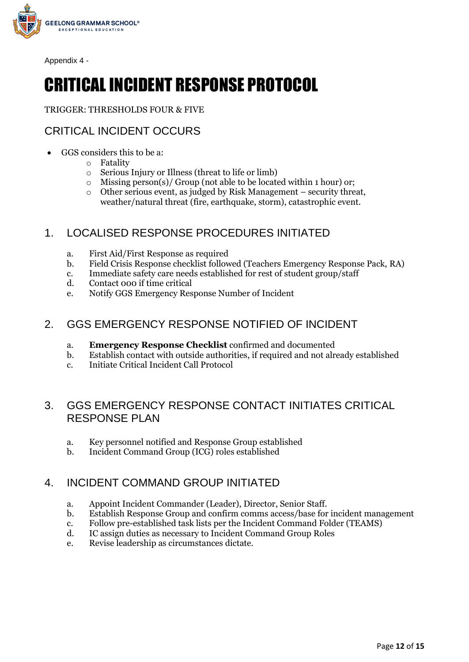

Appendix 4 -

# CRITICAL INCIDENT RESPONSE PROTOCOL

TRIGGER: THRESHOLDS FOUR & FIVE

# CRITICAL INCIDENT OCCURS

- GGS considers this to be a:
	- o Fatality
	- o Serious Injury or Illness (threat to life or limb)
	- Missing person(s)/ Group (not able to be located within 1 hour) or;
	- o Other serious event, as judged by Risk Management security threat, weather/natural threat (fire, earthquake, storm), catastrophic event.

# 1. LOCALISED RESPONSE PROCEDURES INITIATED

- a. First Aid/First Response as required
- b. Field Crisis Response checklist followed (Teachers Emergency Response Pack, RA)
- c. Immediate safety care needs established for rest of student group/staff
- d. Contact 000 if time critical
- e. Notify GGS Emergency Response Number of Incident

# 2. GGS EMERGENCY RESPONSE NOTIFIED OF INCIDENT

- a. **Emergency Response Checklist** confirmed and documented
- b. Establish contact with outside authorities, if required and not already established
- c. Initiate Critical Incident Call Protocol

# 3. GGS EMERGENCY RESPONSE CONTACT INITIATES CRITICAL RESPONSE PLAN

- a. Key personnel notified and Response Group established
- b. Incident Command Group (ICG) roles established

# 4. INCIDENT COMMAND GROUP INITIATED

- a. Appoint Incident Commander (Leader), Director, Senior Staff.
- b. Establish Response Group and confirm comms access/base for incident management
- c. Follow pre-established task lists per the Incident Command Folder (TEAMS)
- d. IC assign duties as necessary to Incident Command Group Roles
- e. Revise leadership as circumstances dictate.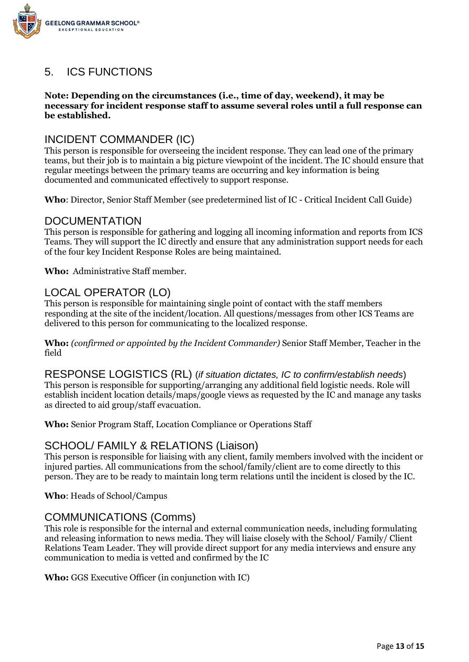

# 5. ICS FUNCTIONS

#### **Note: Depending on the circumstances (i.e., time of day, weekend), it may be necessary for incident response staff to assume several roles until a full response can be established.**

# INCIDENT COMMANDER (IC)

This person is responsible for overseeing the incident response. They can lead one of the primary teams, but their job is to maintain a big picture viewpoint of the incident. The IC should ensure that regular meetings between the primary teams are occurring and key information is being documented and communicated effectively to support response.

**Who**: Director, Senior Staff Member (see predetermined list of IC - Critical Incident Call Guide)

### DOCUMENTATION

This person is responsible for gathering and logging all incoming information and reports from ICS Teams. They will support the IC directly and ensure that any administration support needs for each of the four key Incident Response Roles are being maintained.

**Who:** Administrative Staff member.

# LOCAL OPERATOR (LO)

This person is responsible for maintaining single point of contact with the staff members responding at the site of the incident/location. All questions/messages from other ICS Teams are delivered to this person for communicating to the localized response.

**Who:** *(confirmed or appointed by the Incident Commander)* Senior Staff Member, Teacher in the field

RESPONSE LOGISTICS (RL) (*if situation dictates, IC to confirm/establish needs*) This person is responsible for supporting/arranging any additional field logistic needs. Role will establish incident location details/maps/google views as requested by the IC and manage any tasks as directed to aid group/staff evacuation.

**Who:** Senior Program Staff, Location Compliance or Operations Staff

# SCHOOL/ FAMILY & RELATIONS (Liaison)

This person is responsible for liaising with any client, family members involved with the incident or injured parties. All communications from the school/family/client are to come directly to this person. They are to be ready to maintain long term relations until the incident is closed by the IC.

**Who**: Heads of School/Campus

### COMMUNICATIONS (Comms)

This role is responsible for the internal and external communication needs, including formulating and releasing information to news media. They will liaise closely with the School/ Family/ Client Relations Team Leader. They will provide direct support for any media interviews and ensure any communication to media is vetted and confirmed by the IC

**Who:** GGS Executive Officer (in conjunction with IC)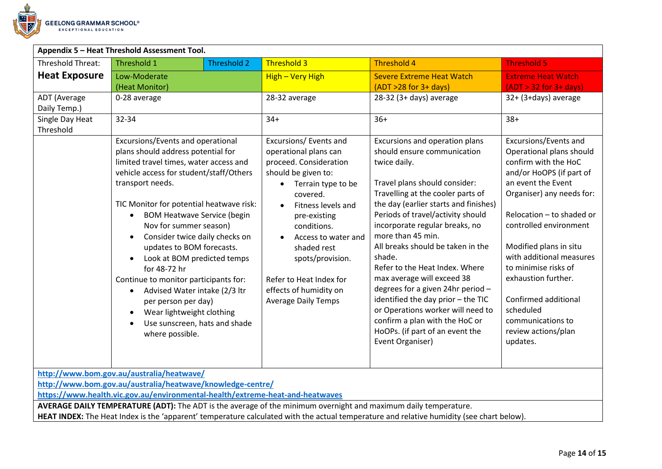

# **Appendix 5 – Heat Threshold Assessment Tool.**

| Appendix 5 – Heat Threshold Assessment Tool. |                                                                                                                                                                                                                                                                                                                                                                                                                                                                                                                                                                                                                                                                    |                    |                    |                                                                                                                                                                                                                                                                                                                                      |                                                                                                                                                                                                                                                                                                                                                                                                                                                                                                                                                                                                                  |  |                                                                                                                                                                                                                                                                                                                                                                                                                   |  |  |
|----------------------------------------------|--------------------------------------------------------------------------------------------------------------------------------------------------------------------------------------------------------------------------------------------------------------------------------------------------------------------------------------------------------------------------------------------------------------------------------------------------------------------------------------------------------------------------------------------------------------------------------------------------------------------------------------------------------------------|--------------------|--------------------|--------------------------------------------------------------------------------------------------------------------------------------------------------------------------------------------------------------------------------------------------------------------------------------------------------------------------------------|------------------------------------------------------------------------------------------------------------------------------------------------------------------------------------------------------------------------------------------------------------------------------------------------------------------------------------------------------------------------------------------------------------------------------------------------------------------------------------------------------------------------------------------------------------------------------------------------------------------|--|-------------------------------------------------------------------------------------------------------------------------------------------------------------------------------------------------------------------------------------------------------------------------------------------------------------------------------------------------------------------------------------------------------------------|--|--|
| <b>Threshold Threat:</b>                     | Threshold 1                                                                                                                                                                                                                                                                                                                                                                                                                                                                                                                                                                                                                                                        | <b>Threshold 2</b> | <b>Threshold 3</b> |                                                                                                                                                                                                                                                                                                                                      | <b>Threshold 4</b>                                                                                                                                                                                                                                                                                                                                                                                                                                                                                                                                                                                               |  | <b>Threshold 5</b>                                                                                                                                                                                                                                                                                                                                                                                                |  |  |
| <b>Heat Exposure</b>                         | Low-Moderate<br>(Heat Monitor)                                                                                                                                                                                                                                                                                                                                                                                                                                                                                                                                                                                                                                     |                    |                    | High - Very High                                                                                                                                                                                                                                                                                                                     | <b>Severe Extreme Heat Watch</b><br>$(ADT > 28$ for $3+$ days)                                                                                                                                                                                                                                                                                                                                                                                                                                                                                                                                                   |  | <b>Extreme Heat Watch</b><br>$(ADT > 32$ for $3+$ days)                                                                                                                                                                                                                                                                                                                                                           |  |  |
| ADT (Average<br>Daily Temp.)                 | 0-28 average                                                                                                                                                                                                                                                                                                                                                                                                                                                                                                                                                                                                                                                       |                    | 28-32 average      |                                                                                                                                                                                                                                                                                                                                      | 28-32 (3+ days) average                                                                                                                                                                                                                                                                                                                                                                                                                                                                                                                                                                                          |  | 32+ (3+days) average                                                                                                                                                                                                                                                                                                                                                                                              |  |  |
| Single Day Heat<br>Threshold                 | 32-34                                                                                                                                                                                                                                                                                                                                                                                                                                                                                                                                                                                                                                                              |                    | $34+$              |                                                                                                                                                                                                                                                                                                                                      | $36+$                                                                                                                                                                                                                                                                                                                                                                                                                                                                                                                                                                                                            |  | $38+$                                                                                                                                                                                                                                                                                                                                                                                                             |  |  |
|                                              | Excursions/Events and operational<br>plans should address potential for<br>limited travel times, water access and<br>vehicle access for student/staff/Others<br>transport needs.<br>TIC Monitor for potential heatwave risk:<br><b>BOM Heatwave Service (begin</b><br>$\bullet$<br>Nov for summer season)<br>Consider twice daily checks on<br>٠<br>updates to BOM forecasts.<br>Look at BOM predicted temps<br>$\bullet$<br>for 48-72 hr<br>Continue to monitor participants for:<br>Advised Water intake (2/3 ltr<br>$\bullet$<br>per person per day)<br>Wear lightweight clothing<br>$\bullet$<br>Use sunscreen, hats and shade<br>$\bullet$<br>where possible. |                    | $\bullet$          | Excursions/ Events and<br>operational plans can<br>proceed. Consideration<br>should be given to:<br>Terrain type to be<br>covered.<br>Fitness levels and<br>pre-existing<br>conditions.<br>Access to water and<br>shaded rest<br>spots/provision.<br>Refer to Heat Index for<br>effects of humidity on<br><b>Average Daily Temps</b> | Excursions and operation plans<br>should ensure communication<br>twice daily.<br>Travel plans should consider:<br>Travelling at the cooler parts of<br>the day (earlier starts and finishes)<br>Periods of travel/activity should<br>incorporate regular breaks, no<br>more than 45 min.<br>All breaks should be taken in the<br>shade.<br>Refer to the Heat Index. Where<br>max average will exceed 38<br>degrees for a given 24hr period -<br>identified the day prior - the TIC<br>or Operations worker will need to<br>confirm a plan with the HoC or<br>HoOPs. (if part of an event the<br>Event Organiser) |  | Excursions/Events and<br>Operational plans should<br>confirm with the HoC<br>and/or HoOPS (if part of<br>an event the Event<br>Organiser) any needs for:<br>Relocation - to shaded or<br>controlled environment<br>Modified plans in situ<br>with additional measures<br>to minimise risks of<br>exhaustion further.<br>Confirmed additional<br>scheduled<br>communications to<br>review actions/plan<br>updates. |  |  |
|                                              | http://www.bom.gov.au/australia/heatwave/                                                                                                                                                                                                                                                                                                                                                                                                                                                                                                                                                                                                                          |                    |                    |                                                                                                                                                                                                                                                                                                                                      |                                                                                                                                                                                                                                                                                                                                                                                                                                                                                                                                                                                                                  |  |                                                                                                                                                                                                                                                                                                                                                                                                                   |  |  |
|                                              | http://www.bom.gov.au/australia/heatwave/knowledge-centre/<br>https://www.health.vic.gov.au/environmental-health/extreme-heat-and-heatwaves                                                                                                                                                                                                                                                                                                                                                                                                                                                                                                                        |                    |                    |                                                                                                                                                                                                                                                                                                                                      |                                                                                                                                                                                                                                                                                                                                                                                                                                                                                                                                                                                                                  |  |                                                                                                                                                                                                                                                                                                                                                                                                                   |  |  |
|                                              |                                                                                                                                                                                                                                                                                                                                                                                                                                                                                                                                                                                                                                                                    |                    |                    |                                                                                                                                                                                                                                                                                                                                      |                                                                                                                                                                                                                                                                                                                                                                                                                                                                                                                                                                                                                  |  |                                                                                                                                                                                                                                                                                                                                                                                                                   |  |  |

**AVERAGE DAILY TEMPERATURE (ADT):** The ADT is the average of the minimum overnight and maximum daily temperature.

**HEAT INDEX:** The Heat Index is the 'apparent' temperature calculated with the actual temperature and relative humidity (see chart below).